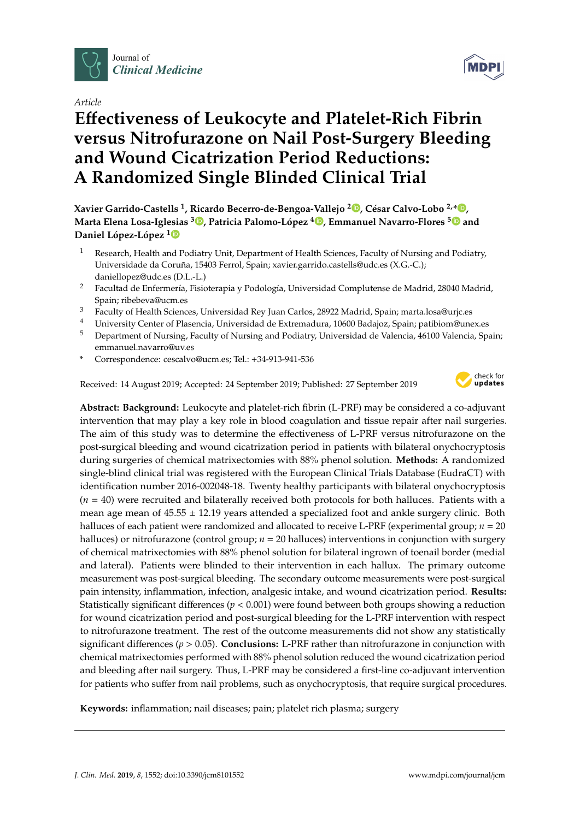

*Article*

# **E**ff**ectiveness of Leukocyte and Platelet-Rich Fibrin versus Nitrofurazone on Nail Post-Surgery Bleeding and Wound Cicatrization Period Reductions: A Randomized Single Blinded Clinical Trial**

**Xavier Garrido-Castells <sup>1</sup> , Ricardo Becerro-de-Bengoa-Vallejo <sup>2</sup> [,](https://orcid.org/0000-0003-1568-7602) César Calvo-Lobo 2,\* [,](https://orcid.org/0000-0002-6569-1311) Marta Elena Losa-Iglesias <sup>3</sup> [,](https://orcid.org/0000-0001-7588-2069) Patricia Palomo-López <sup>4</sup> [,](https://orcid.org/0000-0003-3821-949X) Emmanuel Navarro-Flores [5](https://orcid.org/0000-0002-6170-4779) and Daniel López-López [1](https://orcid.org/0000-0002-9818-6290)**

- <sup>1</sup> Research, Health and Podiatry Unit, Department of Health Sciences, Faculty of Nursing and Podiatry, Universidade da Coruña, 15403 Ferrol, Spain; xavier.garrido.castells@udc.es (X.G.-C.); daniellopez@udc.es (D.L.-L.)
- <sup>2</sup> Facultad de Enfermería, Fisioterapia y Podología, Universidad Complutense de Madrid, 28040 Madrid, Spain; ribebeva@ucm.es
- <sup>3</sup> Faculty of Health Sciences, Universidad Rey Juan Carlos, 28922 Madrid, Spain; marta.losa@urjc.es
- <sup>4</sup> University Center of Plasencia, Universidad de Extremadura, 10600 Badajoz, Spain; patibiom@unex.es
- <sup>5</sup> Department of Nursing, Faculty of Nursing and Podiatry, Universidad de Valencia, 46100 Valencia, Spain; emmanuel.navarro@uv.es
- **\*** Correspondence: cescalvo@ucm.es; Tel.: +34-913-941-536

Received: 14 August 2019; Accepted: 24 September 2019; Published: 27 September 2019



**Abstract: Background:** Leukocyte and platelet-rich fibrin (L-PRF) may be considered a co-adjuvant intervention that may play a key role in blood coagulation and tissue repair after nail surgeries. The aim of this study was to determine the effectiveness of L-PRF versus nitrofurazone on the post-surgical bleeding and wound cicatrization period in patients with bilateral onychocryptosis during surgeries of chemical matrixectomies with 88% phenol solution. **Methods:** A randomized single-blind clinical trial was registered with the European Clinical Trials Database (EudraCT) with identification number 2016-002048-18. Twenty healthy participants with bilateral onychocryptosis (*n* = 40) were recruited and bilaterally received both protocols for both halluces. Patients with a mean age mean of 45.55 ± 12.19 years attended a specialized foot and ankle surgery clinic. Both halluces of each patient were randomized and allocated to receive L-PRF (experimental group; *n* = 20 halluces) or nitrofurazone (control group; *n* = 20 halluces) interventions in conjunction with surgery of chemical matrixectomies with 88% phenol solution for bilateral ingrown of toenail border (medial and lateral). Patients were blinded to their intervention in each hallux. The primary outcome measurement was post-surgical bleeding. The secondary outcome measurements were post-surgical pain intensity, inflammation, infection, analgesic intake, and wound cicatrization period. **Results:** Statistically significant differences (*p* < 0.001) were found between both groups showing a reduction for wound cicatrization period and post-surgical bleeding for the L-PRF intervention with respect to nitrofurazone treatment. The rest of the outcome measurements did not show any statistically significant differences (*p* > 0.05). **Conclusions:** L-PRF rather than nitrofurazone in conjunction with chemical matrixectomies performed with 88% phenol solution reduced the wound cicatrization period and bleeding after nail surgery. Thus, L-PRF may be considered a first-line co-adjuvant intervention for patients who suffer from nail problems, such as onychocryptosis, that require surgical procedures.

**Keywords:** inflammation; nail diseases; pain; platelet rich plasma; surgery

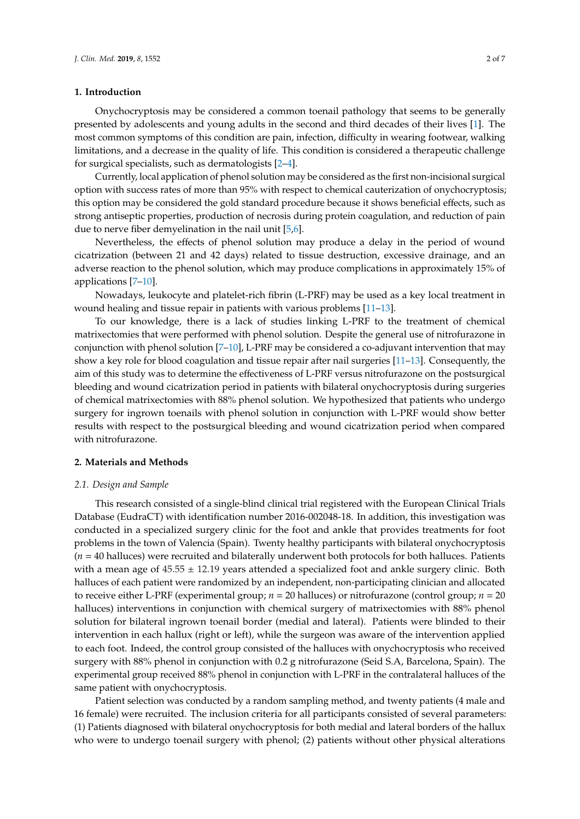## **1. Introduction**

Onychocryptosis may be considered a common toenail pathology that seems to be generally presented by adolescents and young adults in the second and third decades of their lives [\[1\]](#page-5-0). The most common symptoms of this condition are pain, infection, difficulty in wearing footwear, walking limitations, and a decrease in the quality of life. This condition is considered a therapeutic challenge for surgical specialists, such as dermatologists [\[2–](#page-5-1)[4\]](#page-5-2).

Currently, local application of phenol solution may be considered as the first non-incisional surgical option with success rates of more than 95% with respect to chemical cauterization of onychocryptosis; this option may be considered the gold standard procedure because it shows beneficial effects, such as strong antiseptic properties, production of necrosis during protein coagulation, and reduction of pain due to nerve fiber demyelination in the nail unit [\[5](#page-5-3)[,6\]](#page-5-4).

Nevertheless, the effects of phenol solution may produce a delay in the period of wound cicatrization (between 21 and 42 days) related to tissue destruction, excessive drainage, and an adverse reaction to the phenol solution, which may produce complications in approximately 15% of applications [\[7](#page-5-5)[–10\]](#page-5-6).

Nowadays, leukocyte and platelet-rich fibrin (L-PRF) may be used as a key local treatment in wound healing and tissue repair in patients with various problems [\[11–](#page-5-7)[13\]](#page-6-0).

To our knowledge, there is a lack of studies linking L-PRF to the treatment of chemical matrixectomies that were performed with phenol solution. Despite the general use of nitrofurazone in conjunction with phenol solution  $[7-10]$  $[7-10]$ , L-PRF may be considered a co-adjuvant intervention that may show a key role for blood coagulation and tissue repair after nail surgeries [\[11](#page-5-7)[–13\]](#page-6-0). Consequently, the aim of this study was to determine the effectiveness of L-PRF versus nitrofurazone on the postsurgical bleeding and wound cicatrization period in patients with bilateral onychocryptosis during surgeries of chemical matrixectomies with 88% phenol solution. We hypothesized that patients who undergo surgery for ingrown toenails with phenol solution in conjunction with L-PRF would show better results with respect to the postsurgical bleeding and wound cicatrization period when compared with nitrofurazone.

## **2. Materials and Methods**

#### *2.1. Design and Sample*

This research consisted of a single-blind clinical trial registered with the European Clinical Trials Database (EudraCT) with identification number 2016-002048-18. In addition, this investigation was conducted in a specialized surgery clinic for the foot and ankle that provides treatments for foot problems in the town of Valencia (Spain). Twenty healthy participants with bilateral onychocryptosis (*n* = 40 halluces) were recruited and bilaterally underwent both protocols for both halluces. Patients with a mean age of  $45.55 \pm 12.19$  years attended a specialized foot and ankle surgery clinic. Both halluces of each patient were randomized by an independent, non-participating clinician and allocated to receive either L-PRF (experimental group; *n* = 20 halluces) or nitrofurazone (control group; *n* = 20 halluces) interventions in conjunction with chemical surgery of matrixectomies with 88% phenol solution for bilateral ingrown toenail border (medial and lateral). Patients were blinded to their intervention in each hallux (right or left), while the surgeon was aware of the intervention applied to each foot. Indeed, the control group consisted of the halluces with onychocryptosis who received surgery with 88% phenol in conjunction with 0.2 g nitrofurazone (Seid S.A, Barcelona, Spain). The experimental group received 88% phenol in conjunction with L-PRF in the contralateral halluces of the same patient with onychocryptosis.

Patient selection was conducted by a random sampling method, and twenty patients (4 male and 16 female) were recruited. The inclusion criteria for all participants consisted of several parameters: (1) Patients diagnosed with bilateral onychocryptosis for both medial and lateral borders of the hallux who were to undergo toenail surgery with phenol; (2) patients without other physical alterations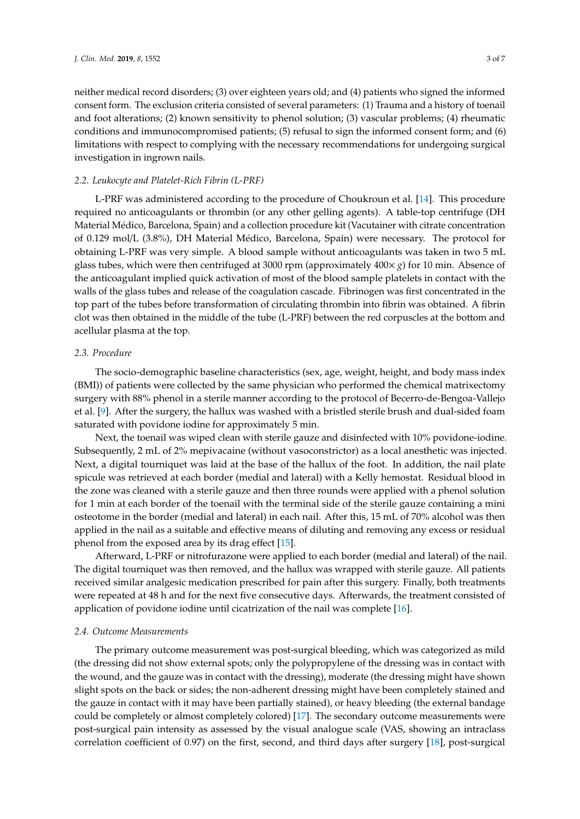neither medical record disorders; (3) over eighteen years old; and (4) patients who signed the informed consent form. The exclusion criteria consisted of several parameters: (1) Trauma and a history of toenail and foot alterations; (2) known sensitivity to phenol solution; (3) vascular problems; (4) rheumatic conditions and immunocompromised patients; (5) refusal to sign the informed consent form; and (6) limitations with respect to complying with the necessary recommendations for undergoing surgical investigation in ingrown nails.

## *2.2. Leukocyte and Platelet-Rich Fibrin (L-PRF)*

L-PRF was administered according to the procedure of Choukroun et al. [\[14\]](#page-6-1). This procedure required no anticoagulants or thrombin (or any other gelling agents). A table-top centrifuge (DH Material Médico, Barcelona, Spain) and a collection procedure kit (Vacutainer with citrate concentration of 0.129 mol/L (3.8%), DH Material Médico, Barcelona, Spain) were necessary. The protocol for obtaining L-PRF was very simple. A blood sample without anticoagulants was taken in two 5 mL glass tubes, which were then centrifuged at 3000 rpm (approximately 400× *g*) for 10 min. Absence of the anticoagulant implied quick activation of most of the blood sample platelets in contact with the walls of the glass tubes and release of the coagulation cascade. Fibrinogen was first concentrated in the top part of the tubes before transformation of circulating thrombin into fibrin was obtained. A fibrin clot was then obtained in the middle of the tube (L-PRF) between the red corpuscles at the bottom and acellular plasma at the top.

## *2.3. Procedure*

The socio-demographic baseline characteristics (sex, age, weight, height, and body mass index (BMI)) of patients were collected by the same physician who performed the chemical matrixectomy surgery with 88% phenol in a sterile manner according to the protocol of Becerro-de-Bengoa-Vallejo et al. [\[9\]](#page-5-8). After the surgery, the hallux was washed with a bristled sterile brush and dual-sided foam saturated with povidone iodine for approximately 5 min.

Next, the toenail was wiped clean with sterile gauze and disinfected with 10% povidone-iodine. Subsequently, 2 mL of 2% mepivacaine (without vasoconstrictor) as a local anesthetic was injected. Next, a digital tourniquet was laid at the base of the hallux of the foot. In addition, the nail plate spicule was retrieved at each border (medial and lateral) with a Kelly hemostat. Residual blood in the zone was cleaned with a sterile gauze and then three rounds were applied with a phenol solution for 1 min at each border of the toenail with the terminal side of the sterile gauze containing a mini osteotome in the border (medial and lateral) in each nail. After this, 15 mL of 70% alcohol was then applied in the nail as a suitable and effective means of diluting and removing any excess or residual phenol from the exposed area by its drag effect [\[15\]](#page-6-2).

Afterward, L-PRF or nitrofurazone were applied to each border (medial and lateral) of the nail. The digital tourniquet was then removed, and the hallux was wrapped with sterile gauze. All patients received similar analgesic medication prescribed for pain after this surgery. Finally, both treatments were repeated at 48 h and for the next five consecutive days. Afterwards, the treatment consisted of application of povidone iodine until cicatrization of the nail was complete [\[16\]](#page-6-3).

## *2.4. Outcome Measurements*

The primary outcome measurement was post-surgical bleeding, which was categorized as mild (the dressing did not show external spots; only the polypropylene of the dressing was in contact with the wound, and the gauze was in contact with the dressing), moderate (the dressing might have shown slight spots on the back or sides; the non-adherent dressing might have been completely stained and the gauze in contact with it may have been partially stained), or heavy bleeding (the external bandage could be completely or almost completely colored) [\[17\]](#page-6-4). The secondary outcome measurements were post-surgical pain intensity as assessed by the visual analogue scale (VAS, showing an intraclass correlation coefficient of 0.97) on the first, second, and third days after surgery [\[18\]](#page-6-5), post-surgical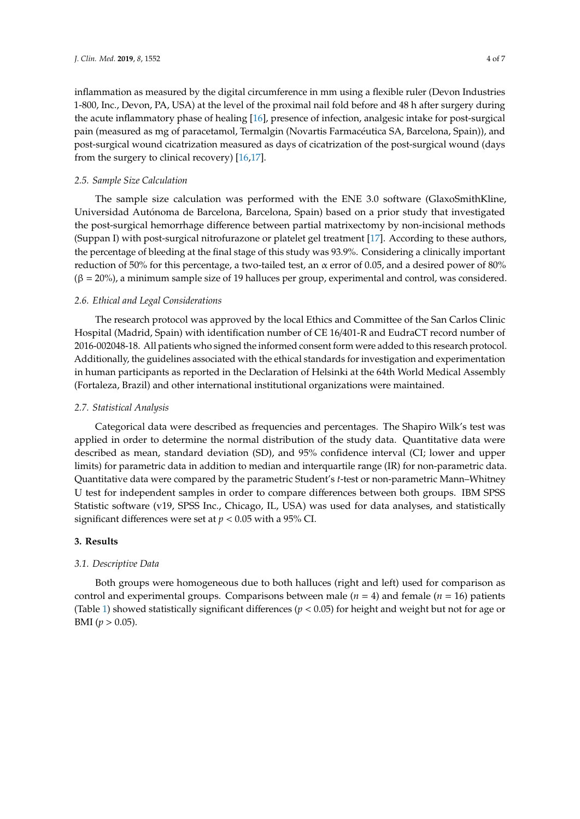inflammation as measured by the digital circumference in mm using a flexible ruler (Devon Industries 1-800, Inc., Devon, PA, USA) at the level of the proximal nail fold before and 48 h after surgery during the acute inflammatory phase of healing [\[16\]](#page-6-3), presence of infection, analgesic intake for post-surgical pain (measured as mg of paracetamol, Termalgin (Novartis Farmacéutica SA, Barcelona, Spain)), and post-surgical wound cicatrization measured as days of cicatrization of the post-surgical wound (days from the surgery to clinical recovery) [\[16,](#page-6-3)[17\]](#page-6-4).

#### *2.5. Sample Size Calculation*

The sample size calculation was performed with the ENE 3.0 software (GlaxoSmithKline, Universidad Autónoma de Barcelona, Barcelona, Spain) based on a prior study that investigated the post-surgical hemorrhage difference between partial matrixectomy by non-incisional methods (Suppan I) with post-surgical nitrofurazone or platelet gel treatment [\[17\]](#page-6-4). According to these authors, the percentage of bleeding at the final stage of this study was 93.9%. Considering a clinically important reduction of 50% for this percentage, a two-tailed test, an α error of 0.05, and a desired power of 80%  $(β = 20%)$ , a minimum sample size of 19 halluces per group, experimental and control, was considered.

#### *2.6. Ethical and Legal Considerations*

The research protocol was approved by the local Ethics and Committee of the San Carlos Clinic Hospital (Madrid, Spain) with identification number of CE 16/401-R and EudraCT record number of 2016-002048-18. All patients who signed the informed consent form were added to this research protocol. Additionally, the guidelines associated with the ethical standards for investigation and experimentation in human participants as reported in the Declaration of Helsinki at the 64th World Medical Assembly (Fortaleza, Brazil) and other international institutional organizations were maintained.

## *2.7. Statistical Analysis*

Categorical data were described as frequencies and percentages. The Shapiro Wilk's test was applied in order to determine the normal distribution of the study data. Quantitative data were described as mean, standard deviation (SD), and 95% confidence interval (CI; lower and upper limits) for parametric data in addition to median and interquartile range (IR) for non-parametric data. Quantitative data were compared by the parametric Student's *t*-test or non-parametric Mann–Whitney U test for independent samples in order to compare differences between both groups. IBM SPSS Statistic software (v19, SPSS Inc., Chicago, IL, USA) was used for data analyses, and statistically significant differences were set at *p* < 0.05 with a 95% CI.

#### **3. Results**

#### *3.1. Descriptive Data*

Both groups were homogeneous due to both halluces (right and left) used for comparison as control and experimental groups. Comparisons between male  $(n = 4)$  and female  $(n = 16)$  patients (Table [1\)](#page-4-0) showed statistically significant differences (*p* < 0.05) for height and weight but not for age or BMI ( $p > 0.05$ ).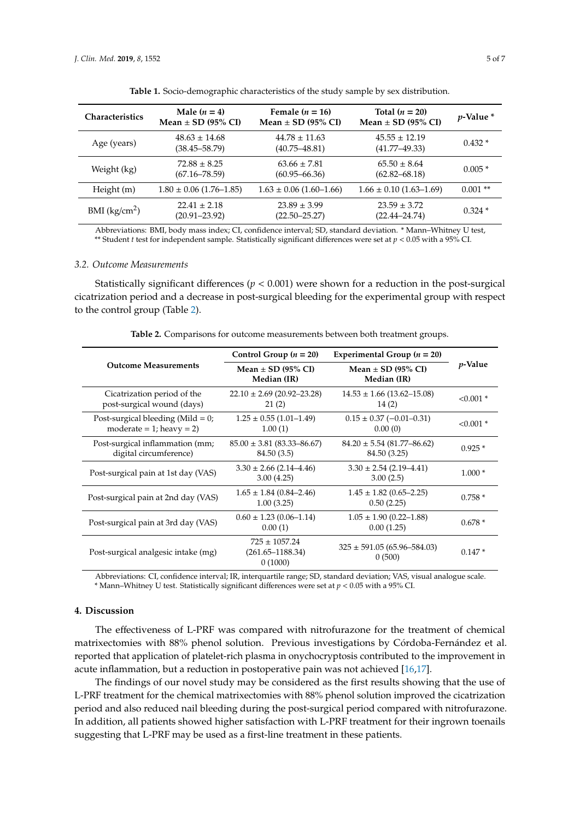<span id="page-4-0"></span>

| <b>Characteristics</b>    | Male $(n = 4)$<br>Mean $\pm$ SD (95% CI) | Female $(n = 16)$<br>Mean $\pm$ SD (95% CI) | Total $(n = 20)$<br>Mean $\pm$ SD (95% CI) | $p$ -Value $*$ |
|---------------------------|------------------------------------------|---------------------------------------------|--------------------------------------------|----------------|
| Age (years)               | $48.63 \pm 14.68$<br>$(38.45 - 58.79)$   | $44.78 \pm 11.63$<br>$(40.75 - 48.81)$      | $45.55 \pm 12.19$<br>$(41.77 - 49.33)$     | $0.432*$       |
| Weight (kg)               | $72.88 \pm 8.25$<br>$(67.16 - 78.59)$    | $63.66 \pm 7.81$<br>$(60.95 - 66.36)$       | $65.50 \pm 8.64$<br>$(62.82 - 68.18)$      | $0.005*$       |
| Height (m)                | $1.80 \pm 0.06$ (1.76–1.85)              | $1.63 \pm 0.06$ (1.60–1.66)                 | $1.66 \pm 0.10$ (1.63–1.69)                | $0.001**$      |
| BMI (kg/cm <sup>2</sup> ) | $22.41 \pm 2.18$<br>$(20.91 - 23.92)$    | $23.89 \pm 3.99$<br>$(22.50 - 25.27)$       | $23.59 \pm 3.72$<br>$(22.44 - 24.74)$      | $0.324*$       |

|  |  |  | Table 1. Socio-demographic characteristics of the study sample by sex distribution. |
|--|--|--|-------------------------------------------------------------------------------------|
|  |  |  |                                                                                     |

Abbreviations: BMI, body mass index; CI, confidence interval; SD, standard deviation. \* Mann–Whitney U test, \*\* Student *t* test for independent sample. Statistically significant differences were set at *p* < 0.05 with a 95% CI.

#### *3.2. Outcome Measurements*

Statistically significant differences (*p* < 0.001) were shown for a reduction in the post-surgical cicatrization period and a decrease in post-surgical bleeding for the experimental group with respect to the control group (Table [2\)](#page-4-1).

<span id="page-4-1"></span>

|                                                                        | Control Group $(n = 20)$                             | Experimental Group ( $n = 20$ )                    |             |  |
|------------------------------------------------------------------------|------------------------------------------------------|----------------------------------------------------|-------------|--|
| <b>Outcome Measurements</b>                                            | Mean $\pm$ SD (95% CI)<br>Median (IR)                | Mean $\pm$ SD (95% CI)<br>Median (IR)              | $p$ -Value  |  |
| Cicatrization period of the<br>post-surgical wound (days)              | $22.10 \pm 2.69$ (20.92–23.28)<br>21(2)              | $14.53 \pm 1.66$ (13.62–15.08)<br>14(2)            | $< 0.001$ * |  |
| Post-surgical bleeding (Mild $= 0$ ;<br>moderate = $1$ ; heavy = $2$ ) | $1.25 \pm 0.55$ (1.01-1.49)<br>1.00(1)               | $0.15 \pm 0.37 (-0.01 - 0.31)$<br>0.00(0)          | $< 0.001$ * |  |
| Post-surgical inflammation (mm;<br>digital circumference)              | $85.00 \pm 3.81 (83.33 - 86.67)$<br>84.50 (3.5)      | $84.20 \pm 5.54 \ (81.77 - 86.62)$<br>84.50 (3.25) | $0.925*$    |  |
| Post-surgical pain at 1st day (VAS)                                    | $3.30 \pm 2.66$ (2.14–4.46)<br>3.00(4.25)            | $3.30 \pm 2.54$ (2.19-4.41)<br>3.00(2.5)           | $1.000*$    |  |
| Post-surgical pain at 2nd day (VAS)                                    | $1.65 \pm 1.84 \ (0.84 - 2.46)$<br>1.00(3.25)        | $1.45 \pm 1.82$ (0.65–2.25)<br>0.50(2.25)          | $0.758*$    |  |
| Post-surgical pain at 3rd day (VAS)                                    | $0.60 \pm 1.23$ (0.06–1.14)<br>0.00(1)               | $1.05 \pm 1.90$ (0.22–1.88)<br>0.00(1.25)          | $0.678*$    |  |
| Post-surgical analgesic intake (mg)                                    | $725 \pm 1057.24$<br>$(261.65 - 1188.34)$<br>0(1000) | $325 \pm 591.05 (65.96 - 584.03)$<br>0(500)        | $0.147*$    |  |

**Table 2.** Comparisons for outcome measurements between both treatment groups.

Abbreviations: CI, confidence interval; IR, interquartile range; SD, standard deviation; VAS, visual analogue scale. \* Mann–Whitney U test. Statistically significant differences were set at *p* < 0.05 with a 95% CI.

## **4. Discussion**

The effectiveness of L-PRF was compared with nitrofurazone for the treatment of chemical matrixectomies with 88% phenol solution. Previous investigations by Córdoba-Fernández et al. reported that application of platelet-rich plasma in onychocryptosis contributed to the improvement in acute inflammation, but a reduction in postoperative pain was not achieved [\[16](#page-6-3)[,17\]](#page-6-4).

The findings of our novel study may be considered as the first results showing that the use of L-PRF treatment for the chemical matrixectomies with 88% phenol solution improved the cicatrization period and also reduced nail bleeding during the post-surgical period compared with nitrofurazone. In addition, all patients showed higher satisfaction with L-PRF treatment for their ingrown toenails suggesting that L-PRF may be used as a first-line treatment in these patients.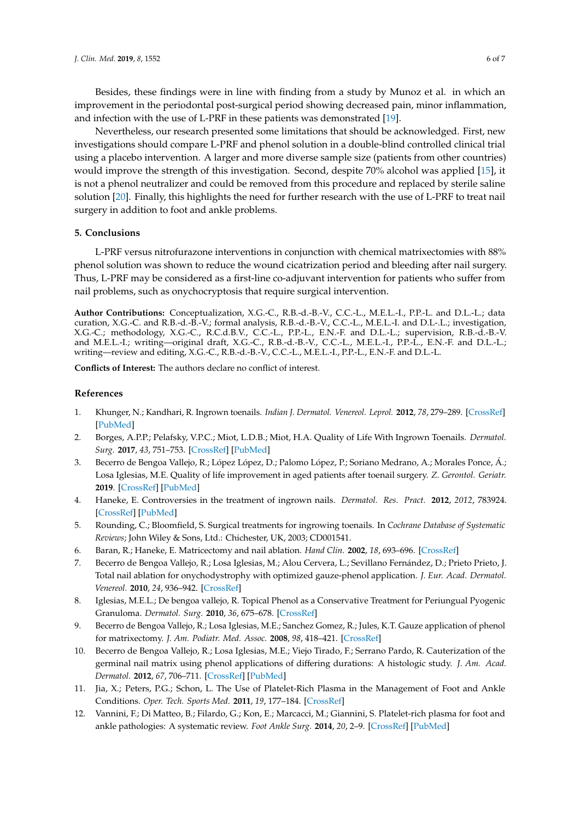Besides, these findings were in line with finding from a study by Munoz et al. in which an improvement in the periodontal post-surgical period showing decreased pain, minor inflammation, and infection with the use of L-PRF in these patients was demonstrated [\[19\]](#page-6-6).

Nevertheless, our research presented some limitations that should be acknowledged. First, new investigations should compare L-PRF and phenol solution in a double-blind controlled clinical trial using a placebo intervention. A larger and more diverse sample size (patients from other countries) would improve the strength of this investigation. Second, despite 70% alcohol was applied [\[15\]](#page-6-2), it is not a phenol neutralizer and could be removed from this procedure and replaced by sterile saline solution [\[20\]](#page-6-7). Finally, this highlights the need for further research with the use of L-PRF to treat nail surgery in addition to foot and ankle problems.

## **5. Conclusions**

L-PRF versus nitrofurazone interventions in conjunction with chemical matrixectomies with 88% phenol solution was shown to reduce the wound cicatrization period and bleeding after nail surgery. Thus, L-PRF may be considered as a first-line co-adjuvant intervention for patients who suffer from nail problems, such as onychocryptosis that require surgical intervention.

**Author Contributions:** Conceptualization, X.G.-C., R.B.-d.-B.-V., C.C.-L., M.E.L.-I., P.P.-L. and D.L.-L.; data curation, X.G.-C. and R.B.-d.-B.-V.; formal analysis, R.B.-d.-B.-V., C.C.-L., M.E.L.-I. and D.L-.L.; investigation, X.G.-C.; methodology, X.G.-C., R.C.d.B.V., C.C.-L., P.P.-L., E.N.-F. and D.L.-L.; supervision, R.B.-d.-B.-V. and M.E.L.-I.; writing—original draft, X.G.-C., R.B.-d.-B.-V., C.C.-L., M.E.L.-I., P.P.-L., E.N.-F. and D.L.-L.; writing—review and editing, X.G.-C., R.B.-d.-B.-V., C.C.-L., M.E.L.-I., P.P.-L., E.N.-F. and D.L.-L.

**Conflicts of Interest:** The authors declare no conflict of interest.

## **References**

- <span id="page-5-0"></span>1. Khunger, N.; Kandhari, R. Ingrown toenails. *Indian J. Dermatol. Venereol. Leprol.* **2012**, *78*, 279–289. [\[CrossRef\]](http://dx.doi.org/10.4103/0378-6323.95442) [\[PubMed\]](http://www.ncbi.nlm.nih.gov/pubmed/22565427)
- <span id="page-5-1"></span>2. Borges, A.P.P.; Pelafsky, V.P.C.; Miot, L.D.B.; Miot, H.A. Quality of Life With Ingrown Toenails. *Dermatol. Surg.* **2017**, *43*, 751–753. [\[CrossRef\]](http://dx.doi.org/10.1097/DSS.0000000000000954) [\[PubMed\]](http://www.ncbi.nlm.nih.gov/pubmed/28291066)
- 3. Becerro de Bengoa Vallejo, R.; López López, D.; Palomo López, P.; Soriano Medrano, A.; Morales Ponce, Á.; Losa Iglesias, M.E. Quality of life improvement in aged patients after toenail surgery. *Z. Gerontol. Geriatr.* **2019**. [\[CrossRef\]](http://dx.doi.org/10.1007/s00391-019-01504-8) [\[PubMed\]](http://www.ncbi.nlm.nih.gov/pubmed/30710168)
- <span id="page-5-2"></span>4. Haneke, E. Controversies in the treatment of ingrown nails. *Dermatol. Res. Pract.* **2012**, *2012*, 783924. [\[CrossRef\]](http://dx.doi.org/10.1155/2012/783924) [\[PubMed\]](http://www.ncbi.nlm.nih.gov/pubmed/22675345)
- <span id="page-5-3"></span>5. Rounding, C.; Bloomfield, S. Surgical treatments for ingrowing toenails. In *Cochrane Database of Systematic Reviews*; John Wiley & Sons, Ltd.: Chichester, UK, 2003; CD001541.
- <span id="page-5-4"></span>6. Baran, R.; Haneke, E. Matricectomy and nail ablation. *Hand Clin.* **2002**, *18*, 693–696. [\[CrossRef\]](http://dx.doi.org/10.1016/S0749-0712(02)00038-0)
- <span id="page-5-5"></span>7. Becerro de Bengoa Vallejo, R.; Losa Iglesias, M.; Alou Cervera, L.; Sevillano Fernández, D.; Prieto Prieto, J. Total nail ablation for onychodystrophy with optimized gauze-phenol application. *J. Eur. Acad. Dermatol. Venereol.* **2010**, *24*, 936–942. [\[CrossRef\]](http://dx.doi.org/10.1111/j.1468-3083.2010.03569.x)
- 8. Iglesias, M.E.L.; De bengoa vallejo, R. Topical Phenol as a Conservative Treatment for Periungual Pyogenic Granuloma. *Dermatol. Surg.* **2010**, *36*, 675–678. [\[CrossRef\]](http://dx.doi.org/10.1111/j.1524-4725.2010.01528.x)
- <span id="page-5-8"></span>9. Becerro de Bengoa Vallejo, R.; Losa Iglesias, M.E.; Sanchez Gomez, R.; Jules, K.T. Gauze application of phenol for matrixectomy. *J. Am. Podiatr. Med. Assoc.* **2008**, *98*, 418–421. [\[CrossRef\]](http://dx.doi.org/10.7547/0980418)
- <span id="page-5-6"></span>10. Becerro de Bengoa Vallejo, R.; Losa Iglesias, M.E.; Viejo Tirado, F.; Serrano Pardo, R. Cauterization of the germinal nail matrix using phenol applications of differing durations: A histologic study. *J. Am. Acad. Dermatol.* **2012**, *67*, 706–711. [\[CrossRef\]](http://dx.doi.org/10.1016/j.jaad.2012.05.002) [\[PubMed\]](http://www.ncbi.nlm.nih.gov/pubmed/22657155)
- <span id="page-5-7"></span>11. Jia, X.; Peters, P.G.; Schon, L. The Use of Platelet-Rich Plasma in the Management of Foot and Ankle Conditions. *Oper. Tech. Sports Med.* **2011**, *19*, 177–184. [\[CrossRef\]](http://dx.doi.org/10.1053/j.otsm.2011.04.003)
- 12. Vannini, F.; Di Matteo, B.; Filardo, G.; Kon, E.; Marcacci, M.; Giannini, S. Platelet-rich plasma for foot and ankle pathologies: A systematic review. *Foot Ankle Surg.* **2014**, *20*, 2–9. [\[CrossRef\]](http://dx.doi.org/10.1016/j.fas.2013.08.001) [\[PubMed\]](http://www.ncbi.nlm.nih.gov/pubmed/24480491)